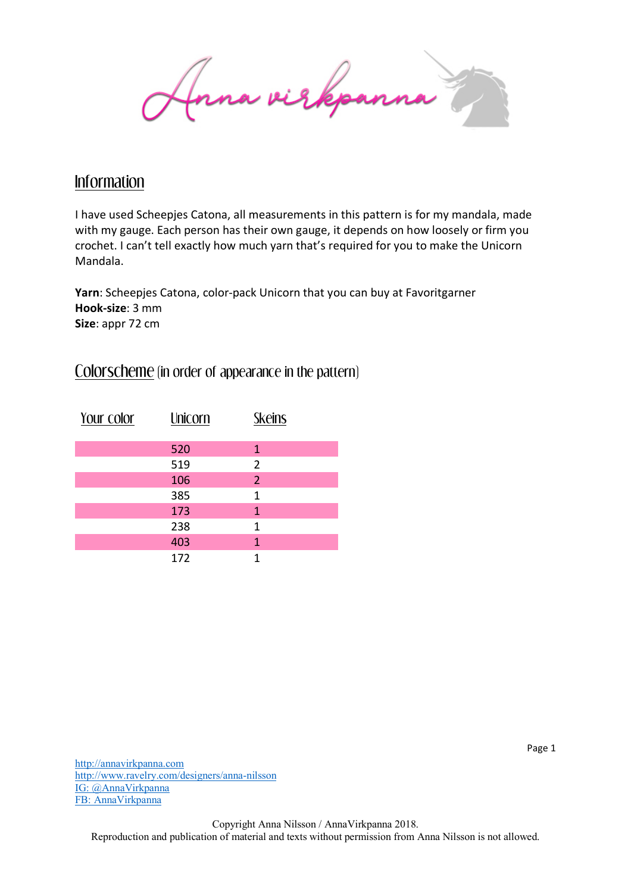Inna virkpanna

## Information

I have used Scheepjes Catona, all measurements in this pattern is for my mandala, made with my gauge. Each person has their own gauge, it depends on how loosely or firm you crochet. I can't tell exactly how much yarn that's required for you to make the Unicorn Mandala.

**Yarn**: Scheepjes Catona, color-pack Unicorn that you can buy at Favoritgarner **Hook-size**: 3 mm **Size**: appr 72 cm

## Colorscheme (in order of appearance in the pattern)

| Your color | Unicorn | <b>Skeins</b>  |  |
|------------|---------|----------------|--|
|            |         |                |  |
|            | 520     | 1              |  |
|            | 519     | $\overline{2}$ |  |
|            | 106     | $\overline{2}$ |  |
|            | 385     | $\mathbf{1}$   |  |
|            | 173     | 1              |  |
|            | 238     | 1              |  |
|            | 403     | 1              |  |
|            | 172     | 1              |  |

http://annavirkpanna.com http://www.ravelry.com/designers/anna-nilsson IG: @AnnaVirkpanna FB: AnnaVirkpanna

Copyright Anna Nilsson / AnnaVirkpanna 2018. Reproduction and publication of material and texts without permission from Anna Nilsson is not allowed.